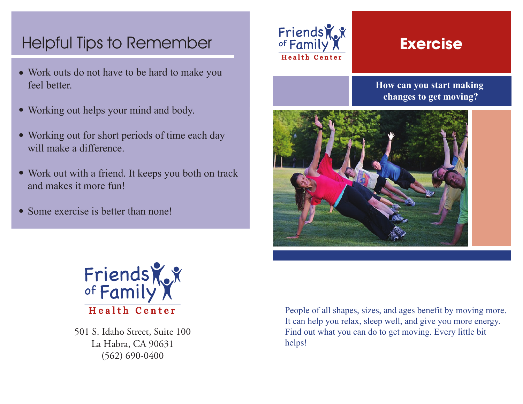# Helpful Tips to Remember **Exercise**

- Work outs do not have to be hard to make you feel better.
- Working out helps your mind and body.
- Working out for short periods of time each day will make a difference
- Work out with a friend. It keeps you both on track and makes it more fun!
- Some exercise is better than none!



**How can you start making changes to get moving?**





501 S. Idaho Street, Suite 100 La Habra, CA 90631 (562) 690-0400

People of all shapes, sizes, and ages benefit by moving more. It can help you relax, sleep well, and give you more energy. Find out what you can do to get moving. Every little bit helps!